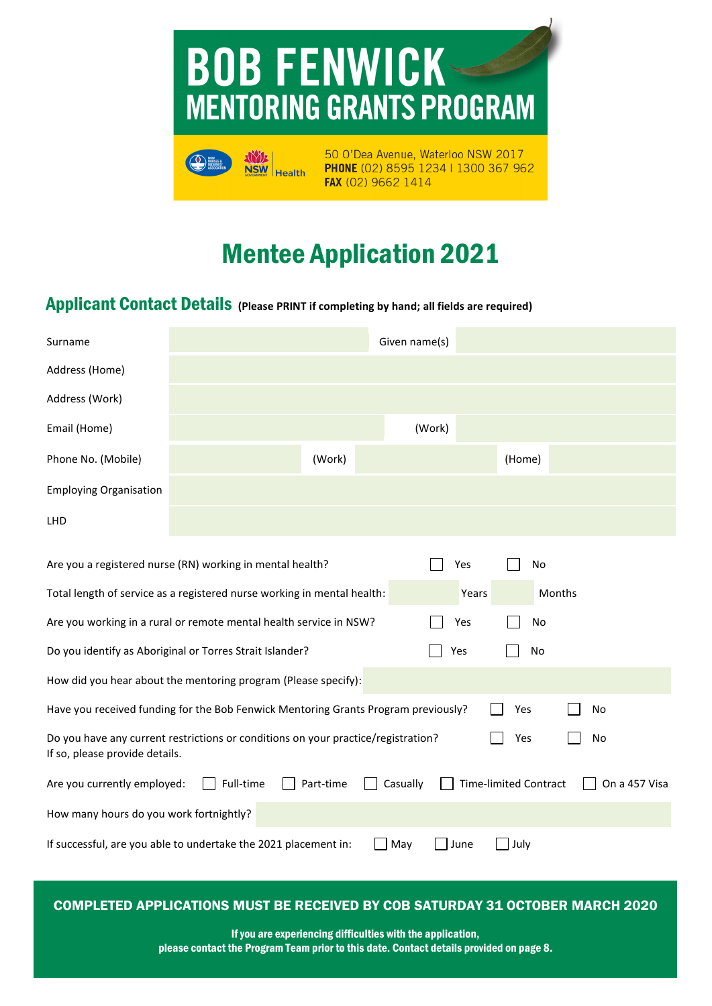



50 O'Dea Avenue, Waterloo NSW 2017 PHONE (02) 8595 1234 | 1300 367 962 FAX (02) 9662 1414

# Mentee Application 2022

### Applicant Contact Details **(Please PRINT if completing by hand; all fields are required)**

| Surname                                                                                                                          |                                                                         |           | Given name(s) |                              |               |
|----------------------------------------------------------------------------------------------------------------------------------|-------------------------------------------------------------------------|-----------|---------------|------------------------------|---------------|
| Address (Home)                                                                                                                   |                                                                         |           |               |                              |               |
| Address (Work)                                                                                                                   |                                                                         |           |               |                              |               |
| Email (Home)                                                                                                                     |                                                                         |           | (Work)        |                              |               |
| Phone No. (Mobile)                                                                                                               |                                                                         | (Work)    |               | (Home)                       |               |
| <b>Employing Organisation</b>                                                                                                    |                                                                         |           |               |                              |               |
| <b>LHD</b>                                                                                                                       |                                                                         |           |               |                              |               |
|                                                                                                                                  |                                                                         |           |               |                              |               |
|                                                                                                                                  | Are you a registered nurse (RN) working in mental health?               |           |               | Yes<br>No                    |               |
|                                                                                                                                  | Total length of service as a registered nurse working in mental health: |           |               | Years                        | Months        |
| Are you working in a rural or remote mental health service in NSW?<br>Yes<br>No                                                  |                                                                         |           |               |                              |               |
| Do you identify as Aboriginal or Torres Strait Islander?<br>Yes<br>No                                                            |                                                                         |           |               |                              |               |
| How did you hear about the mentoring program (Please specify):                                                                   |                                                                         |           |               |                              |               |
| Have you received funding for the Bob Fenwick Mentoring Grants Program previously?<br>No<br>Yes                                  |                                                                         |           |               |                              |               |
| Do you have any current restrictions or conditions on your practice/registration?<br>No<br>Yes<br>If so, please provide details. |                                                                         |           |               |                              |               |
| Are you currently employed:                                                                                                      | Full-time                                                               | Part-time | Casually      | <b>Time-limited Contract</b> | On a 457 Visa |
| How many hours do you work fortnightly?                                                                                          |                                                                         |           |               |                              |               |
| If successful, are you able to undertake the 2022 placement in:<br>May<br>June<br>July                                           |                                                                         |           |               |                              |               |

### COMPLETED APPLICATIONS MUST BE RECEIVED BY COB SATURDAY 13 MARCH 2022

If you are experiencing difficulties with the application, please contact the Program Team prior to this date. Contact details provided on page 8.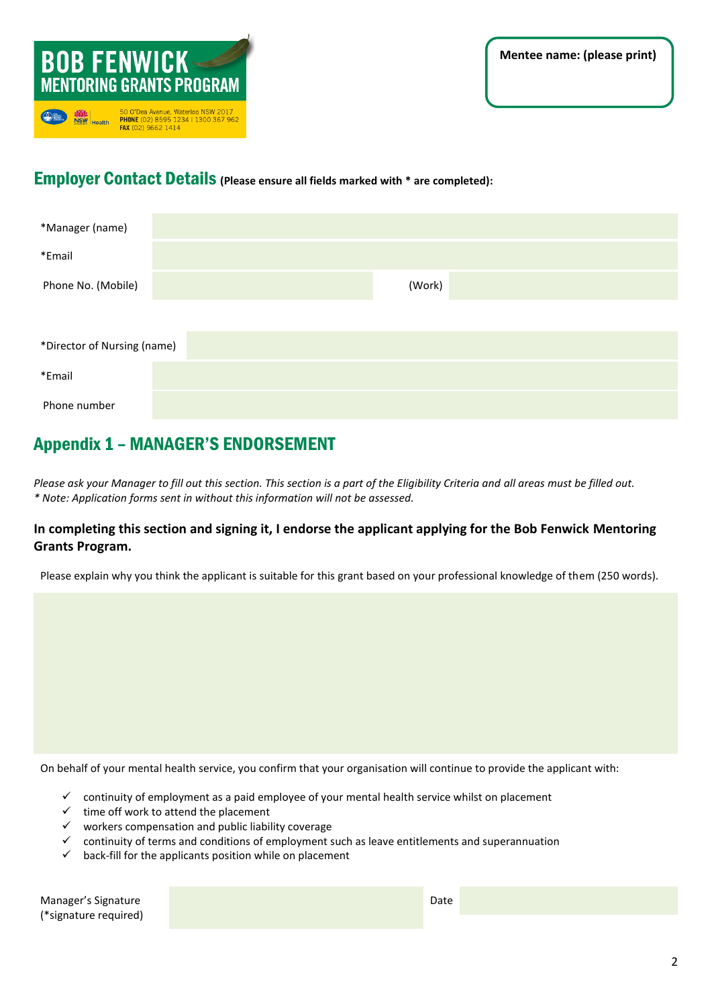

### Employer Contact Details **(Please ensure all fields marked with \* are completed):**

| *Manager (name)             |        |  |  |  |  |
|-----------------------------|--------|--|--|--|--|
| *Email                      |        |  |  |  |  |
| Phone No. (Mobile)          | (Work) |  |  |  |  |
|                             |        |  |  |  |  |
| *Director of Nursing (name) |        |  |  |  |  |
| *Email                      |        |  |  |  |  |
| Phone number                |        |  |  |  |  |

# Appendix 1 – MANAGER'S ENDORSEMENT

*Please ask your Manager to fill out this section. This section is a part of the Eligibility Criteria and all areas must be filled out. \* Note: Application forms sent in without this information will not be assessed.*

#### **In completing this section and signing it, I endorse the applicant applying for the Bob Fenwick Mentoring Grants Program.**

Please explain why you think the applicant is suitable for this grant based on your professional knowledge of them (250 words).

On behalf of your mental health service, you confirm that your organisation will continue to provide the applicant with:

- ✓ continuity of employment as a paid employee of your mental health service whilst on placement
- $\checkmark$  time off work to attend the placement
- $\checkmark$  workers compensation and public liability coverage
- $\checkmark$  continuity of terms and conditions of employment such as leave entitlements and superannuation
- $\checkmark$  back-fill for the applicants position while on placement

Manager's Signature (\*signature required)

Date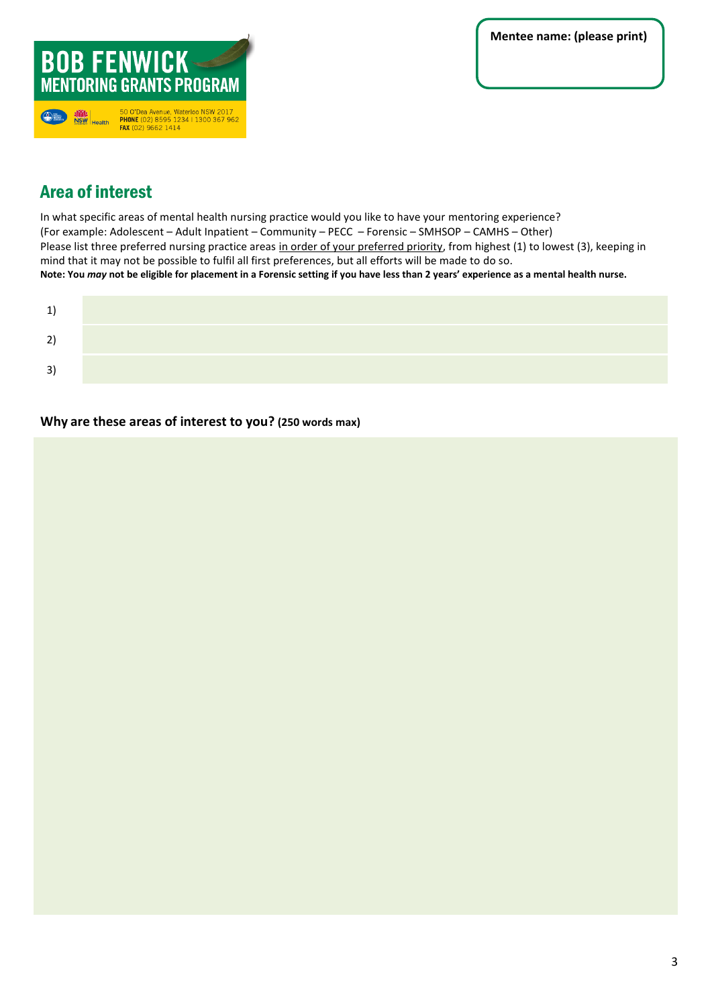

# Area of interest

In what specific areas of mental health nursing practice would you like to have your mentoring experience? (For example: Adolescent – Adult Inpatient – Community – PECC – Forensic – SMHSOP – CAMHS – Other) Please list three preferred nursing practice areas in order of your preferred priority, from highest (1) to lowest (3), keeping in mind that it may not be possible to fulfil all first preferences, but all efforts will be made to do so. **Note: You** *may* **not be eligible for placement in a Forensic setting if you have less than 2 years' experience as a mental health nurse.**

| ີ<br>-            |  |
|-------------------|--|
| $\lceil 3 \rceil$ |  |

**Why are these areas of interest to you? (250 words max)**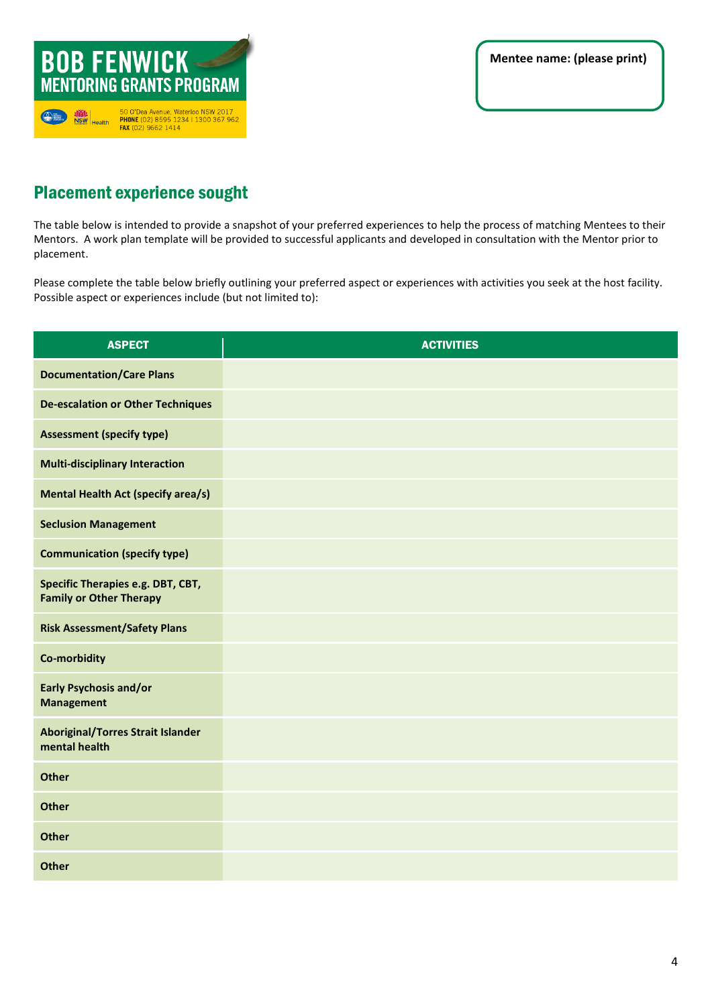

# Placement experience sought

The table below is intended to provide a snapshot of your preferred experiences to help the process of matching Mentees to their Mentors. A work plan template will be provided to successful applicants and developed in consultation with the Mentor prior to placement.

Please complete the table below briefly outlining your preferred aspect or experiences with activities you seek at the host facility. Possible aspect or experiences include (but not limited to):

| <b>ASPECT</b>                                                       | <b>ACTIVITIES</b> |
|---------------------------------------------------------------------|-------------------|
| <b>Documentation/Care Plans</b>                                     |                   |
| <b>De-escalation or Other Techniques</b>                            |                   |
| <b>Assessment (specify type)</b>                                    |                   |
| <b>Multi-disciplinary Interaction</b>                               |                   |
| <b>Mental Health Act (specify area/s)</b>                           |                   |
| <b>Seclusion Management</b>                                         |                   |
| <b>Communication (specify type)</b>                                 |                   |
| Specific Therapies e.g. DBT, CBT,<br><b>Family or Other Therapy</b> |                   |
| <b>Risk Assessment/Safety Plans</b>                                 |                   |
| <b>Co-morbidity</b>                                                 |                   |
| <b>Early Psychosis and/or</b><br><b>Management</b>                  |                   |
| <b>Aboriginal/Torres Strait Islander</b><br>mental health           |                   |
| <b>Other</b>                                                        |                   |
| <b>Other</b>                                                        |                   |
| <b>Other</b>                                                        |                   |
| <b>Other</b>                                                        |                   |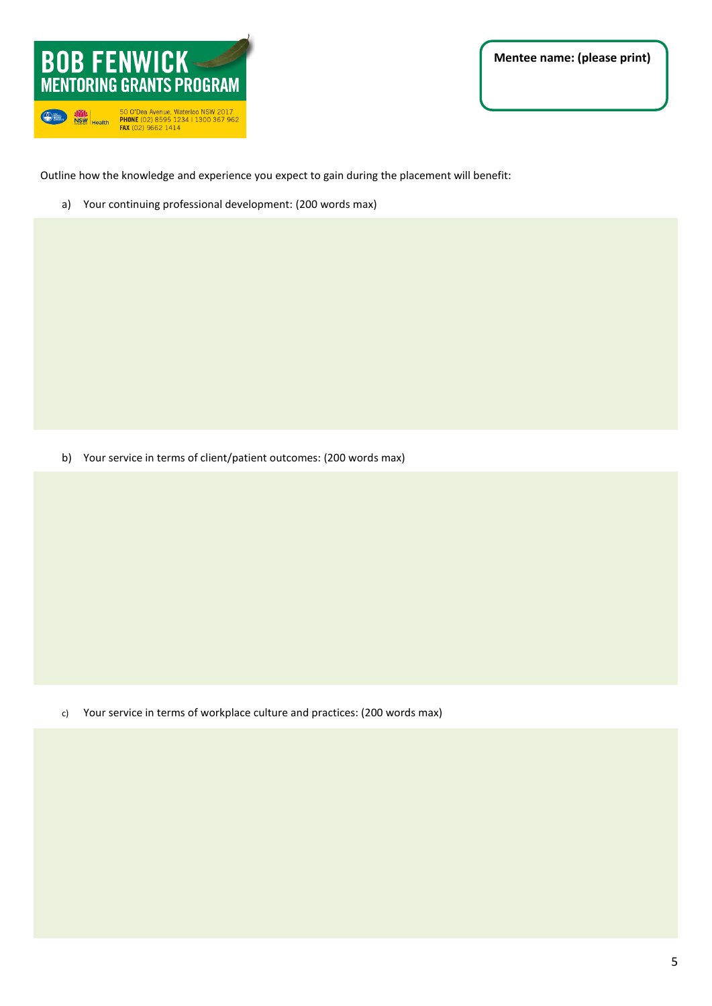

**Mentee name: (please print)** 

Outline how the knowledge and experience you expect to gain during the placement will benefit:

a) Your continuing professional development: (200 words max)

b) Your service in terms of client/patient outcomes: (200 words max)

c) Your service in terms of workplace culture and practices: (200 words max)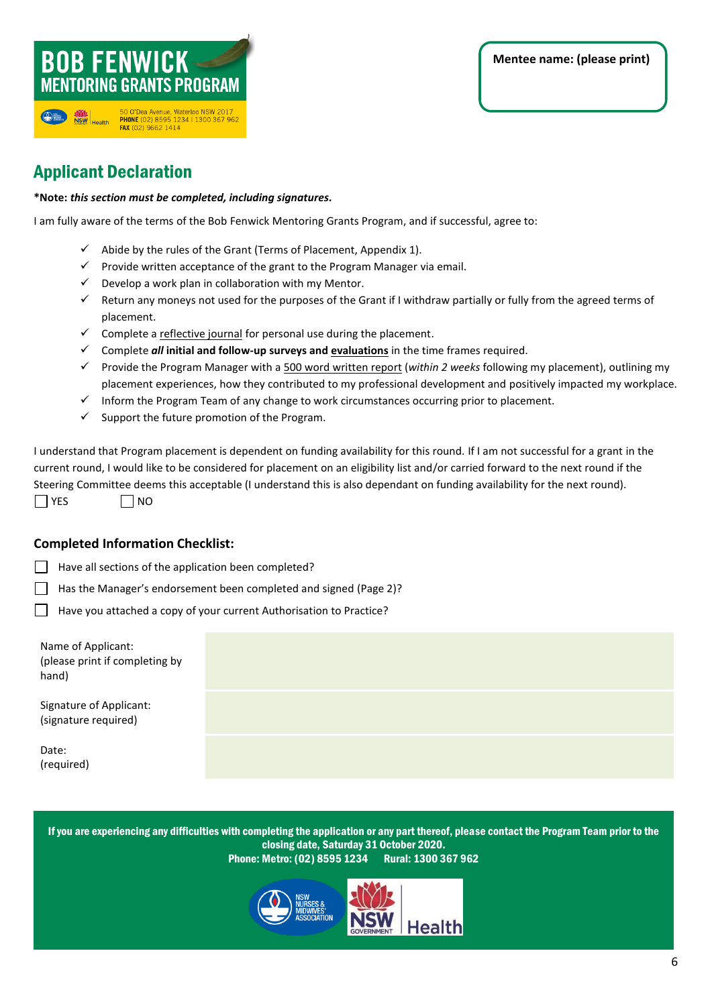### **BOB FENWICK-MENTORING GRANTS PROGRAM** 50 O'Dea Avenue, Waterloo NSW 2017<br>PHONE (02) 8595 1234 | 1300 367 962<br>FAX (02) 9662 1414  $\bigcirc$ NSW Health

# Applicant Declaration

#### **\*Note:** *this section must be completed, including signatures.*

I am fully aware of the terms of the Bob Fenwick Mentoring Grants Program, and if successful, agree to:

- $\checkmark$  Abide by the rules of the Grant (Terms of Placement, Appendix 1).
- $\checkmark$  Provide written acceptance of the grant to the Program Manager via email.
- $\checkmark$  Develop a work plan in collaboration with my Mentor.
- ✓ Return any moneys not used for the purposes of the Grant if I withdraw partially or fully from the agreed terms of placement.
- ✓ Complete a reflective journal for personal use during the placement.
- ✓ Complete *all* **initial and follow-up surveys and evaluations** in the time frames required.
- ✓ Provide the Program Manager with a 500 word written report (*within 2 weeks* following my placement), outlining my placement experiences, how they contributed to my professional development and positively impacted my workplace.
- ✓ Inform the Program Team of any change to work circumstances occurring prior to placement.
- $\checkmark$  Support the future promotion of the Program.

I understand that Program placement is dependent on funding availability for this round. If I am not successful for a grant in the current round, I would like to be considered for placement on an eligibility list and/or carried forward to the next round if the Steering Committee deems this acceptable (I understand this is also dependant on funding availability for the next round).  $\Box$  YES  $\Box$  NO

#### **Completed Information Checklist:**

- Have all sections of the application been completed?
- Has the Manager's endorsement been completed and signed (Page 2)?
- Have you attached a copy of your current Authorisation to Practice?

Name of Applicant: (please print if completing by hand)

Signature of Applicant: (signature required)

Date: (required)

> If you are experiencing any difficulties with completing the application or any part thereof, please contact the Program Team prior to the closing date, Sunday 13 March 2022.

Phone: Metro: (02) 8595 1234 Rural: 1300 367 962



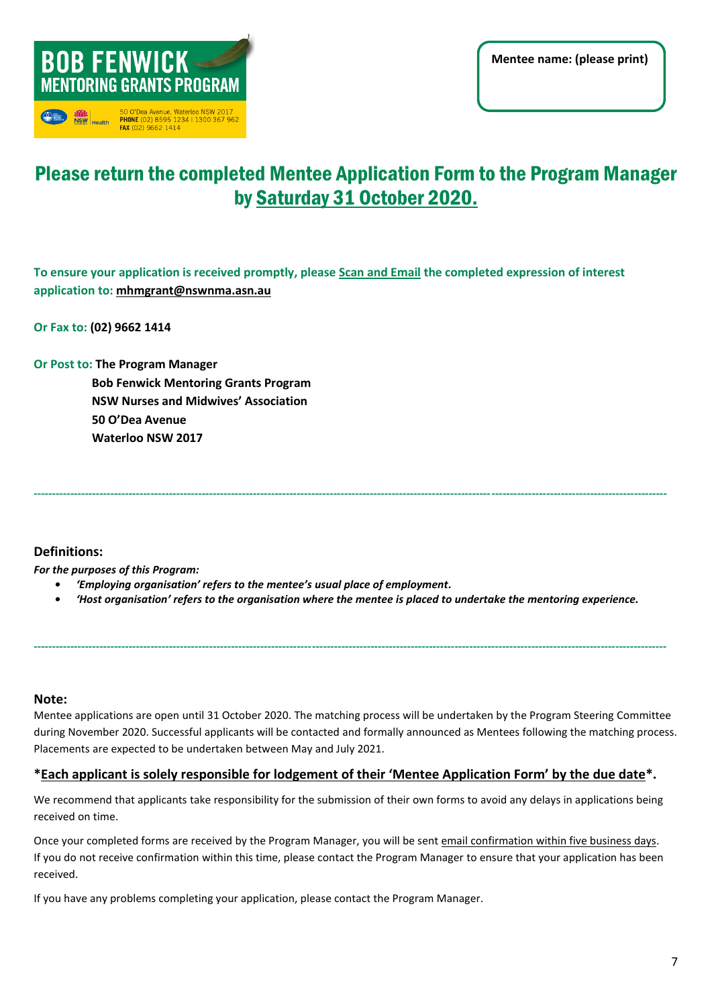

# Please return the completed Mentee Application Form to the Program Manager by Sunday 13 March 2022.

**To ensure your application is received promptly, please Scan and Email the completed expression of interest application to: [mhmgrant@nswnma.asn.au](mailto:mhmgrant@nswnma.asn.au)**

**Or Fax to: (02) 9662 1414**

**Or Post to: The Program Manager Bob Fenwick Mentoring Grants Program NSW Nurses and Midwives' Association 50 O'Dea Avenue Waterloo NSW 2017**

#### **Definitions:**

*For the purposes of this Program:*

- *• 'Employing organisation' refers to the mentee's usual place of employment.*
- *• 'Host organisation' refers to the organisation where the mentee is placed to undertake the mentoring experience.*

**-----------------------------------------------------------------------------------------------------------------------------------------------------------------------------**

**-----------------------------------------------------------------------------------------------------------------------------------------------------------------------------**

#### **Note:**

Placements are expected to be undertaken between May and July 2022. Mentee applications are open until 13 March 2021. The matching process will be undertaken by the Program Steering Committee during November 2022. Successful applicants will be contacted and formally announced as Mentees following the matching process.

#### **\*Each applicant is solely responsible for lodgement of their 'Mentee Application Form' by the due date\*.**

We recommend that applicants take responsibility for the submission of their own forms to avoid any delays in applications being received on time.

Once your completed forms are received by the Program Manager, you will be sent email confirmation within five business days. If you do not receive confirmation within this time, please contact the Program Manager to ensure that your application has been received.

If you have any problems completing your application, please contact the Program Manager.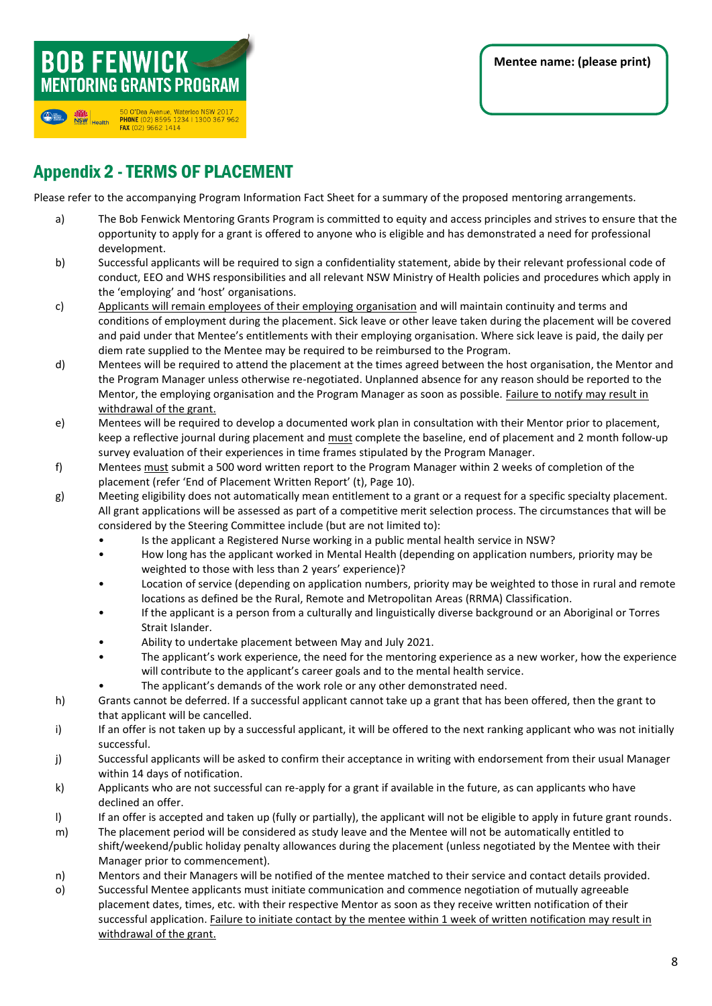# Appendix 2 -TERMS OF PLACEMENT

50 O'Dea Avenue, Waterloo NSW 2017<br>PHONE (02) 8595 1234 | 1300 367 962

**BOB FENWICK** 

 $①$ 

**NSW**<br>NSW Health

**MENTORING GRANTS PROGRAM** 

FAX (02) 9662 1414

Please refer to the accompanying Program Information Fact Sheet for a summary of the proposed mentoring arrangements.

- a) The Bob Fenwick Mentoring Grants Program is committed to equity and access principles and strives to ensure that the opportunity to apply for a grant is offered to anyone who is eligible and has demonstrated a need for professional development.
- b) Successful applicants will be required to sign a confidentiality statement, abide by their relevant professional code of conduct, EEO and WHS responsibilities and all relevant NSW Ministry of Health policies and procedures which apply in the 'employing' and 'host' organisations.
- c) Applicants will remain employees of their employing organisation and will maintain continuity and terms and conditions of employment during the placement. Sick leave or other leave taken during the placement will be covered and paid under that Mentee's entitlements with their employing organisation. Where sick leave is paid, the daily per diem rate supplied to the Mentee may be required to be reimbursed to the Program.
- d) Mentees will be required to attend the placement at the times agreed between the host organisation, the Mentor and the Program Manager unless otherwise re-negotiated. Unplanned absence for any reason should be reported to the Mentor, the employing organisation and the Program Manager as soon as possible. Failure to notify may result in withdrawal of the grant.
- e) Mentees will be required to develop a documented work plan in consultation with their Mentor prior to placement, keep a reflective journal during placement and must complete the baseline, end of placement and 2 month follow-up survey evaluation of their experiences in time frames stipulated by the Program Manager.
- f) Mentees must submit a 500 word written report to the Program Manager within 2 weeks of completion of the placement (refer 'End of Placement Written Report' (t), Page 10).
- g) Meeting eligibility does not automatically mean entitlement to a grant or a request for a specific specialty placement. All grant applications will be assessed as part of a competitive merit selection process. The circumstances that will be considered by the Steering Committee include (but are not limited to):
	- Is the applicant a Registered Nurse working in a public mental health service in NSW?
	- How long has the applicant worked in Mental Health (depending on application numbers, priority may be weighted to those with less than 2 years' experience)?
	- Location of service (depending on application numbers, priority may be weighted to those in rural and remote locations as defined be the Rural, Remote and Metropolitan Areas (RRMA) Classification.
	- If the applicant is a person from a culturally and linguistically diverse background or an Aboriginal or Torres Strait Islander.
	- Ability to undertake placement between May and July 2022.
	- will contribute to the applicant's career goals and to the mental health service. • The applicant's work experience, the need for the mentoring experience as a new worker, how the experience
		- The applicant's demands of the work role or any other demonstrated need.
- h) Grants cannot be deferred. If a successful applicant cannot take up a grant that has been offered, then the grant to that applicant will be cancelled.
- i) If an offer is not taken up by a successful applicant, it will be offered to the next ranking applicant who was not initially successful.
- j) Successful applicants will be asked to confirm their acceptance in writing with endorsement from their usual Manager within 14 days of notification.
- k) Applicants who are not successful can re-apply for a grant if available in the future, as can applicants who have declined an offer.
- I) If an offer is accepted and taken up (fully or partially), the applicant will not be eligible to apply in future grant rounds.
- m) The placement period will be considered as study leave and the Mentee will not be automatically entitled to shift/weekend/public holiday penalty allowances during the placement (unless negotiated by the Mentee with their Manager prior to commencement).
- n) Mentors and their Managers will be notified of the mentee matched to their service and contact details provided.
- o) Successful Mentee applicants must initiate communication and commence negotiation of mutually agreeable placement dates, times, etc. with their respective Mentor as soon as they receive written notification of their successful application. Failure to initiate contact by the mentee within 1 week of written notification may result in withdrawal of the grant.